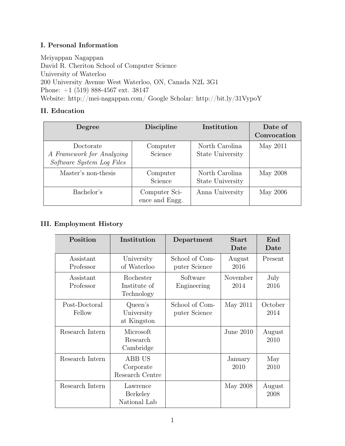## I. Personal Information

Meiyappan Nagappan David R. Cheriton School of Computer Science University of Waterloo 200 University Avenue West Waterloo, ON, Canada N2L 3G1 Phone: +1 (519) 888-4567 ext. 38147 Website: http://mei-nagappan.com/ Google Scholar: http://bit.ly/31VypoY

# II. Education

| Degree                                                              | <b>Discipline</b>               | Institution                        | Date of<br>Convocation |
|---------------------------------------------------------------------|---------------------------------|------------------------------------|------------------------|
| Doctorate<br>A Framework for Analyzing<br>Software System Log Files | Computer<br>Science             | North Carolina<br>State University | May 2011               |
| Master's non-thesis                                                 | Computer<br>Science             | North Carolina<br>State University | May 2008               |
| Bachelor's                                                          | Computer Sci-<br>ence and Engg. | Anna University                    | May 2006               |

# III. Employment History

| Position                | Institution                             | Department                      | <b>Start</b><br>Date | End<br>Date     |
|-------------------------|-----------------------------------------|---------------------------------|----------------------|-----------------|
| Assistant<br>Professor  | University<br>of Waterloo               | School of Com-<br>puter Science | August<br>2016       | Present         |
| Assistant<br>Professor  | Rochester<br>Institute of<br>Technology | Software<br>Engineering         | November<br>2014     | July<br>2016    |
| Post-Doctoral<br>Fellow | Queen's<br>University<br>at Kingston    | School of Com-<br>puter Science | May 2011             | October<br>2014 |
| Research Intern         | Microsoft<br>Research<br>Cambridge      |                                 | June 2010            | August<br>2010  |
| Research Intern         | ABB US<br>Corporate<br>Research Centre  |                                 | January<br>2010      | May<br>2010     |
| Research Intern         | Lawrence<br>Berkeley<br>National Lab    |                                 | May 2008             | August<br>2008  |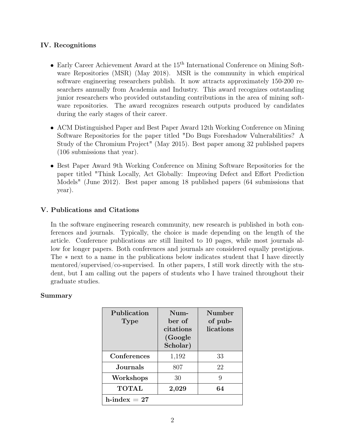## IV. Recognitions

- Early Career Achievement Award at the 15<sup>th</sup> International Conference on Mining Software Repositories (MSR) (May 2018). MSR is the community in which empirical software engineering researchers publish. It now attracts approximately 150-200 researchers annually from Academia and Industry. This award recognizes outstanding junior researchers who provided outstanding contributions in the area of mining software repositories. The award recognizes research outputs produced by candidates during the early stages of their career.
- ACM Distinguished Paper and Best Paper Award 12th Working Conference on Mining Software Repositories for the paper titled "Do Bugs Foreshadow Vulnerabilities? A Study of the Chromium Project" (May 2015). Best paper among 32 published papers (106 submissions that year).
- Best Paper Award 9th Working Conference on Mining Software Repositories for the paper titled "Think Locally, Act Globally: Improving Defect and Effort Prediction Models" (June 2012). Best paper among 18 published papers (64 submissions that year).

## V. Publications and Citations

In the software engineering research community, new research is published in both conferences and journals. Typically, the choice is made depending on the length of the article. Conference publications are still limited to 10 pages, while most journals allow for longer papers. Both conferences and journals are considered equally prestigious. The ∗ next to a name in the publications below indicates student that I have directly mentored/supervised/co-supervised. In other papers, I still work directly with the student, but I am calling out the papers of students who I have trained throughout their graduate studies.

## Summary

| Publication<br><b>Type</b> | $Num-$<br>her of<br>citations<br>(Google)<br>Scholar) | Number<br>of pub-<br>lications |
|----------------------------|-------------------------------------------------------|--------------------------------|
| Conferences                | 1,192                                                 | 33                             |
| Journals.                  | 807                                                   | 22                             |
| Workshops                  | 30                                                    | 9                              |
| <b>TOTAL</b>               | 2,029                                                 | 64                             |
| $h$ -index = 27            |                                                       |                                |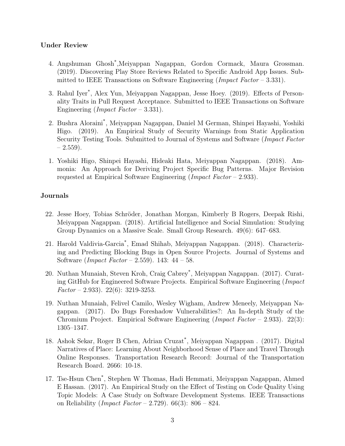### Under Review

- 4. Angshuman Ghosh\* ,Meiyappan Nagappan, Gordon Cormack, Maura Grossman. (2019). Discovering Play Store Reviews Related to Specific Android App Issues. Submitted to IEEE Transactions on Software Engineering (Impact Factor – 3.331).
- 3. Rahul Iyer\* , Alex Yun, Meiyappan Nagappan, Jesse Hoey. (2019). Effects of Personality Traits in Pull Request Acceptance. Submitted to IEEE Transactions on Software Engineering *(Impact Factor –* 3.331).
- 2. Bushra Aloraini\* , Meiyappan Nagappan, Daniel M German, Shinpei Hayashi, Yoshiki Higo. (2019). An Empirical Study of Security Warnings from Static Application Security Testing Tools. Submitted to Journal of Systems and Software (Impact Factor  $-2.559$ ).
- 1. Yoshiki Higo, Shinpei Hayashi, Hideaki Hata, Meiyappan Nagappan. (2018). Ammonia: An Approach for Deriving Project Specific Bug Patterns. Major Revision requested at Empirical Software Engineering (Impact Factor – 2.933).

### Journals

- 22. Jesse Hoey, Tobias Schröder, Jonathan Morgan, Kimberly B Rogers, Deepak Rishi, Meiyappan Nagappan. (2018). Artificial Intelligence and Social Simulation: Studying Group Dynamics on a Massive Scale. Small Group Research. 49(6): 647–683.
- 21. Harold Valdivia-Garcia\* , Emad Shihab, Meiyappan Nagappan. (2018). Characterizing and Predicting Blocking Bugs in Open Source Projects. Journal of Systems and Software (Impact Factor – 2.559). 143: 44 – 58.
- 20. Nuthan Munaiah, Steven Kroh, Craig Cabrey\* , Meiyappan Nagappan. (2017). Curating GitHub for Engineered Software Projects. Empirical Software Engineering (Impact  $Factor - 2.933$ . 22(6): 3219-3253.
- 19. Nuthan Munaiah, Felivel Camilo, Wesley Wigham, Andrew Meneely, Meiyappan Nagappan. (2017). Do Bugs Foreshadow Vulnerabilities?: An In-depth Study of the Chromium Project. Empirical Software Engineering (*Impact Factor –* 2.933). 22(3): 1305–1347.
- 18. Ashok Sekar, Roger B Chen, Adrian Cruzat\* , Meiyappan Nagappan . (2017). Digital Narratives of Place: Learning About Neighborhood Sense of Place and Travel Through Online Responses. Transportation Research Record: Journal of the Transportation Research Board. 2666: 10-18.
- 17. Tse-Hsun Chen\* , Stephen W Thomas, Hadi Hemmati, Meiyappan Nagappan, Ahmed E Hassan. (2017). An Empirical Study on the Effect of Testing on Code Quality Using Topic Models: A Case Study on Software Development Systems. IEEE Transactions on Reliability (*Impact Factor –* 2.729).  $66(3)$ :  $806 - 824$ .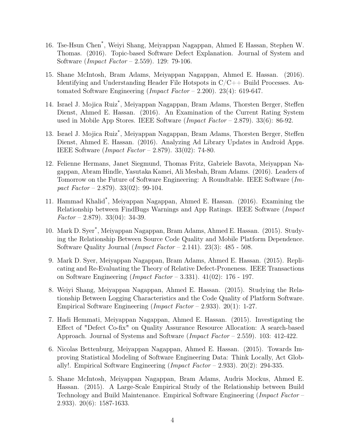- 16. Tse-Hsun Chen\* , Weiyi Shang, Meiyappan Nagappan, Ahmed E Hassan, Stephen W. Thomas. (2016). Topic-based Software Defect Explanation. Journal of System and Software (Impact Factor – 2.559). 129: 79-106.
- 15. Shane McIntosh, Bram Adams, Meiyappan Nagappan, Ahmed E. Hassan. (2016). Identifying and Understanding Header File Hotspots in C/C++ Build Processes. Automated Software Engineering (*Impact Factor –* 2.200). 23(4): 619-647.
- 14. Israel J. Mojica Ruiz\* , Meiyappan Nagappan, Bram Adams, Thorsten Berger, Steffen Dienst, Ahmed E. Hassan. (2016). An Examination of the Current Rating System used in Mobile App Stores. IEEE Software (Impact Factor – 2.879). 33(6): 86-92.
- 13. Israel J. Mojica Ruiz\* , Meiyappan Nagappan, Bram Adams, Thorsten Berger, Steffen Dienst, Ahmed E. Hassan. (2016). Analyzing Ad Library Updates in Android Apps. IEEE Software (Impact Factor – 2.879). 33(02): 74-80.
- 12. Felienne Hermans, Janet Siegmund, Thomas Fritz, Gabriele Bavota, Meiyappan Nagappan, Abram Hindle, Yasutaka Kamei, Ali Mesbah, Bram Adams. (2016). Leaders of Tomorrow on the Future of Software Engineering: A Roundtable. IEEE Software (Impact  $Factor - 2.879$ . 33(02): 99-104.
- 11. Hammad Khalid\* , Meiyappan Nagappan, Ahmed E. Hassan. (2016). Examining the Relationship between FindBugs Warnings and App Ratings. IEEE Software (Impact  $Factor - 2.879$ . 33(04): 34-39.
- 10. Mark D. Syer\* , Meiyappan Nagappan, Bram Adams, Ahmed E. Hassan. (2015). Studying the Relationship Between Source Code Quality and Mobile Platform Dependence. Software Quality Journal (*Impact Factor* – 2.141). 23(3):  $485 - 508$ .
- 9. Mark D. Syer, Meiyappan Nagappan, Bram Adams, Ahmed E. Hassan. (2015). Replicating and Re-Evaluating the Theory of Relative Defect-Proneness. IEEE Transactions on Software Engineering (*Impact Factor* – 3.331).  $41(02)$ : 176 - 197.
- 8. Weiyi Shang, Meiyappan Nagappan, Ahmed E. Hassan. (2015). Studying the Relationship Between Logging Characteristics and the Code Quality of Platform Software. Empirical Software Engineering (*Impact Factor –* 2.933). 20(1): 1-27.
- 7. Hadi Hemmati, Meiyappan Nagappan, Ahmed E. Hassan. (2015). Investigating the Effect of "Defect Co-fix" on Quality Assurance Resource Allocation: A search-based Approach. Journal of Systems and Software (Impact Factor – 2.559). 103: 412-422.
- 6. Nicolas Bettenburg, Meiyappan Nagappan, Ahmed E. Hassan. (2015). Towards Improving Statistical Modeling of Software Engineering Data: Think Locally, Act Globally!. Empirical Software Engineering (*Impact Factor* – 2.933). 20(2): 294-335.
- 5. Shane McIntosh, Meiyappan Nagappan, Bram Adams, Audris Mockus, Ahmed E. Hassan. (2015). A Large-Scale Empirical Study of the Relationship between Build Technology and Build Maintenance. Empirical Software Engineering (Impact Factor – 2.933). 20(6): 1587-1633.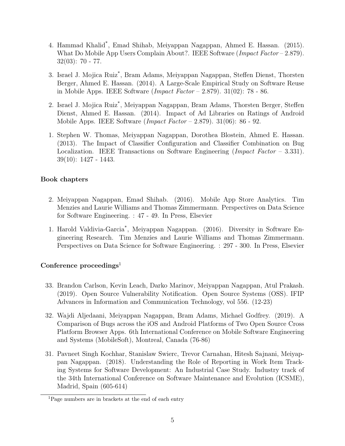- 4. Hammad Khalid\* , Emad Shihab, Meiyappan Nagappan, Ahmed E. Hassan. (2015). What Do Mobile App Users Complain About?. IEEE Software (*Impact Factor* – 2.879). 32(03): 70 - 77.
- 3. Israel J. Mojica Ruiz\* , Bram Adams, Meiyappan Nagappan, Steffen Dienst, Thorsten Berger, Ahmed E. Hassan. (2014). A Large-Scale Empirical Study on Software Reuse in Mobile Apps. IEEE Software (Impact Factor – 2.879). 31(02): 78 - 86.
- 2. Israel J. Mojica Ruiz\* , Meiyappan Nagappan, Bram Adams, Thorsten Berger, Steffen Dienst, Ahmed E. Hassan. (2014). Impact of Ad Libraries on Ratings of Android Mobile Apps. IEEE Software  $(Impect Factor - 2.879)$ . 31(06): 86 - 92.
- 1. Stephen W. Thomas, Meiyappan Nagappan, Dorothea Blostein, Ahmed E. Hassan. (2013). The Impact of Classifier Configuration and Classifier Combination on Bug Localization. IEEE Transactions on Software Engineering ( $Impect Factor - 3.331$ ). 39(10): 1427 - 1443.

## Book chapters

- 2. Meiyappan Nagappan, Emad Shihab. (2016). Mobile App Store Analytics. Tim Menzies and Laurie Williams and Thomas Zimmermann. Perspectives on Data Science for Software Engineering. : 47 - 49. In Press, Elsevier
- 1. Harold Valdivia-Garcia\* , Meiyappan Nagappan. (2016). Diversity in Software Engineering Research. Tim Menzies and Laurie Williams and Thomas Zimmermann. Perspectives on Data Science for Software Engineering. : 297 - 300. In Press, Elsevier

## Conference proceedings<sup>1</sup>

- 33. Brandon Carlson, Kevin Leach, Darko Marinov, Meiyappan Nagappan, Atul Prakash. (2019). Open Source Vulnerability Notification. Open Source Systems (OSS). IFIP Advances in Information and Communication Technology, vol 556. (12-23)
- 32. Wajdi Aljedaani, Meiyappan Nagappan, Bram Adams, Michael Godfrey. (2019). A Comparison of Bugs across the iOS and Android Platforms of Two Open Source Cross Platform Browser Apps. 6th International Conference on Mobile Software Engineering and Systems (MobileSoft), Montreal, Canada (76-86)
- 31. Pavneet Singh Kochhar, Stanislaw Swierc, Trevor Carnahan, Hitesh Sajnani, Meiyappan Nagappan. (2018). Understanding the Role of Reporting in Work Item Tracking Systems for Software Development: An Industrial Case Study. Industry track of the 34th International Conference on Software Maintenance and Evolution (ICSME), Madrid, Spain (605-614)

<sup>1</sup>Page numbers are in brackets at the end of each entry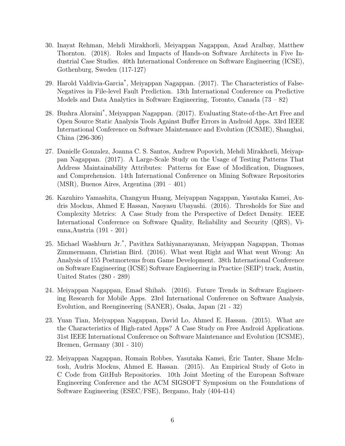- 30. Inayat Rehman, Mehdi Mirakhorli, Meiyappan Nagappan, Azad Aralbay, Matthew Thornton. (2018). Roles and Impacts of Hands-on Software Architects in Five Industrial Case Studies. 40th International Conference on Software Engineering (ICSE), Gothenburg, Sweden (117-127)
- 29. Harold Valdivia-Garcia\* , Meiyappan Nagappan. (2017). The Characteristics of False-Negatives in File-level Fault Prediction. 13th International Conference on Predictive Models and Data Analytics in Software Engineering, Toronto, Canada (73 – 82)
- 28. Bushra Aloraini\* , Meiyappan Nagappan. (2017). Evaluating State-of-the-Art Free and Open Source Static Analysis Tools Against Buffer Errors in Android Apps. 33rd IEEE International Conference on Software Maintenance and Evolution (ICSME), Shanghai, China (296-306)
- 27. Danielle Gonzalez, Joanna C. S. Santos, Andrew Popovich, Mehdi Mirakhorli, Meiyappan Nagappan. (2017). A Large-Scale Study on the Usage of Testing Patterns That Address Maintainability Attributes: Patterns for Ease of Modification, Diagnoses, and Comprehension. 14th International Conference on Mining Software Repositories (MSR), Buenos Aires, Argentina (391 – 401)
- 26. Kazuhiro Yamashita, Changyun Huang, Meiyappan Nagappan, Yasutaka Kamei, Audris Mockus, Ahmed E Hassan, Naoyasu Ubayashi. (2016). Thresholds for Size and Complexity Metrics: A Case Study from the Perspective of Defect Density. IEEE International Conference on Software Quality, Reliability and Security (QRS), Vienna,Austria (191 - 201)
- 25. Michael Washburn Jr.\* , Pavithra Sathiyanarayanan, Meiyappan Nagappan, Thomas Zimmermann, Christian Bird. (2016). What went Right and What went Wrong: An Analysis of 155 Postmortems from Game Development. 38th International Conference on Software Engineering (ICSE) Software Engineering in Practice (SEIP) track, Austin, United States (280 - 289)
- 24. Meiyappan Nagappan, Emad Shihab. (2016). Future Trends in Software Engineering Research for Mobile Apps. 23rd International Conference on Software Analysis, Evolution, and Reengineering (SANER), Osaka, Japan (21 - 32)
- 23. Yuan Tian, Meiyappan Nagappan, David Lo, Ahmed E. Hassan. (2015). What are the Characteristics of High-rated Apps? A Case Study on Free Android Applications. 31st IEEE International Conference on Software Maintenance and Evolution (ICSME), Bremen, Germany (301 - 310)
- 22. Meiyappan Nagappan, Romain Robbes, Yasutaka Kamei, Éric Tanter, Shane McIntosh, Audris Mockus, Ahmed E. Hassan. (2015). An Empirical Study of Goto in C Code from GitHub Repositories. 10th Joint Meeting of the European Software Engineering Conference and the ACM SIGSOFT Symposium on the Foundations of Software Engineering (ESEC/FSE), Bergamo, Italy (404-414)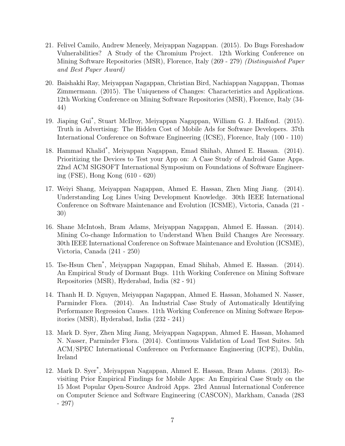- 21. Felivel Camilo, Andrew Meneely, Meiyappan Nagappan. (2015). Do Bugs Foreshadow Vulnerabilities? A Study of the Chromium Project. 12th Working Conference on Mining Software Repositories (MSR), Florence, Italy (269 - 279) (Distinguished Paper and Best Paper Award)
- 20. Baishakhi Ray, Meiyappan Nagappan, Christian Bird, Nachiappan Nagappan, Thomas Zimmermann. (2015). The Uniqueness of Changes: Characteristics and Applications. 12th Working Conference on Mining Software Repositories (MSR), Florence, Italy (34- 44)
- 19. Jiaping Gui\* , Stuart McIlroy, Meiyappan Nagappan, William G. J. Halfond. (2015). Truth in Advertising: The Hidden Cost of Mobile Ads for Software Developers. 37th International Conference on Software Engineering (ICSE), Florence, Italy (100 - 110)
- 18. Hammad Khalid\* , Meiyappan Nagappan, Emad Shihab, Ahmed E. Hassan. (2014). Prioritizing the Devices to Test your App on: A Case Study of Android Game Apps. 22nd ACM SIGSOFT International Symposium on Foundations of Software Engineering (FSE), Hong Kong (610 - 620)
- 17. Weiyi Shang, Meiyappan Nagappan, Ahmed E. Hassan, Zhen Ming Jiang. (2014). Understanding Log Lines Using Development Knowledge. 30th IEEE International Conference on Software Maintenance and Evolution (ICSME), Victoria, Canada (21 - 30)
- 16. Shane McIntosh, Bram Adams, Meiyappan Nagappan, Ahmed E. Hassan. (2014). Mining Co-change Information to Understand When Build Changes Are Necessary. 30th IEEE International Conference on Software Maintenance and Evolution (ICSME), Victoria, Canada (241 - 250)
- 15. Tse-Hsun Chen\* , Meiyappan Nagappan, Emad Shihab, Ahmed E. Hassan. (2014). An Empirical Study of Dormant Bugs. 11th Working Conference on Mining Software Repositories (MSR), Hyderabad, India (82 - 91)
- 14. Thanh H. D. Nguyen, Meiyappan Nagappan, Ahmed E. Hassan, Mohamed N. Nasser, Parminder Flora. (2014). An Industrial Case Study of Automatically Identifying Performance Regression Causes. 11th Working Conference on Mining Software Repositories (MSR), Hyderabad, India (232 - 241)
- 13. Mark D. Syer, Zhen Ming Jiang, Meiyappan Nagappan, Ahmed E. Hassan, Mohamed N. Nasser, Parminder Flora. (2014). Continuous Validation of Load Test Suites. 5th ACM/SPEC International Conference on Performance Engineering (ICPE), Dublin, Ireland
- 12. Mark D. Syer\* , Meiyappan Nagappan, Ahmed E. Hassan, Bram Adams. (2013). Revisiting Prior Empirical Findings for Mobile Apps: An Empirical Case Study on the 15 Most Popular Open-Source Android Apps. 23rd Annual International Conference on Computer Science and Software Engineering (CASCON), Markham, Canada (283 - 297)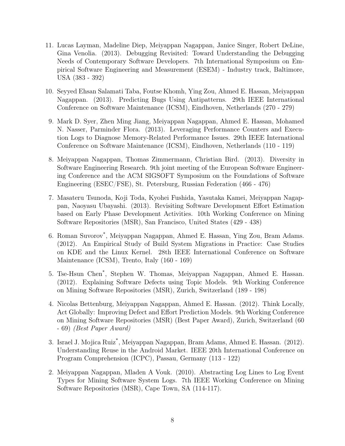- 11. Lucas Layman, Madeline Diep, Meiyappan Nagappan, Janice Singer, Robert DeLine, Gina Venolia. (2013). Debugging Revisited: Toward Understanding the Debugging Needs of Contemporary Software Developers. 7th International Symposium on Empirical Software Engineering and Measurement (ESEM) - Industry track, Baltimore, USA (383 - 392)
- 10. Seyyed Ehsan Salamati Taba, Foutse Khomh, Ying Zou, Ahmed E. Hassan, Meiyappan Nagappan. (2013). Predicting Bugs Using Antipatterns. 29th IEEE International Conference on Software Maintenance (ICSM), Eindhoven, Netherlands (270 - 279)
- 9. Mark D. Syer, Zhen Ming Jiang, Meiyappan Nagappan, Ahmed E. Hassan, Mohamed N. Nasser, Parminder Flora. (2013). Leveraging Performance Counters and Execution Logs to Diagnose Memory-Related Performance Issues. 29th IEEE International Conference on Software Maintenance (ICSM), Eindhoven, Netherlands (110 - 119)
- 8. Meiyappan Nagappan, Thomas Zimmermann, Christian Bird. (2013). Diversity in Software Engineering Research. 9th joint meeting of the European Software Engineering Conference and the ACM SIGSOFT Symposium on the Foundations of Software Engineering (ESEC/FSE), St. Petersburg, Russian Federation (466 - 476)
- 7. Masateru Tsunoda, Koji Toda, Kyohei Fushida, Yasutaka Kamei, Meiyappan Nagappan, Naoyasu Ubayashi. (2013). Revisiting Software Development Effort Estimation based on Early Phase Development Activities. 10th Working Conference on Mining Software Repositories (MSR), San Francisco, United States (429 - 438)
- 6. Roman Suvorov\* , Meiyappan Nagappan, Ahmed E. Hassan, Ying Zou, Bram Adams. (2012). An Empirical Study of Build System Migrations in Practice: Case Studies on KDE and the Linux Kernel. 28th IEEE International Conference on Software Maintenance (ICSM), Trento, Italy (160 - 169)
- 5. Tse-Hsun Chen\* , Stephen W. Thomas, Meiyappan Nagappan, Ahmed E. Hassan. (2012). Explaining Software Defects using Topic Models. 9th Working Conference on Mining Software Repositories (MSR), Zurich, Switzerland (189 - 198)
- 4. Nicolas Bettenburg, Meiyappan Nagappan, Ahmed E. Hassan. (2012). Think Locally, Act Globally: Improving Defect and Effort Prediction Models. 9th Working Conference on Mining Software Repositories (MSR) (Best Paper Award), Zurich, Switzerland (60 - 69) (Best Paper Award)
- 3. Israel J. Mojica Ruiz\* , Meiyappan Nagappan, Bram Adams, Ahmed E. Hassan. (2012). Understanding Reuse in the Android Market. IEEE 20th International Conference on Program Comprehension (ICPC), Passau, Germany (113 - 122)
- 2. Meiyappan Nagappan, Mladen A Vouk. (2010). Abstracting Log Lines to Log Event Types for Mining Software System Logs. 7th IEEE Working Conference on Mining Software Repositories (MSR), Cape Town, SA (114-117).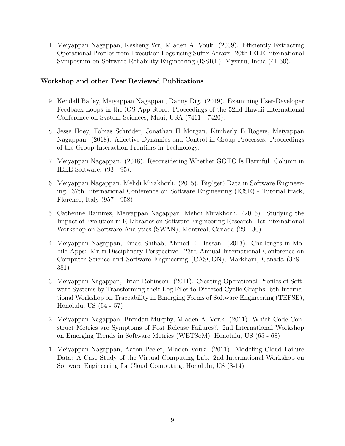1. Meiyappan Nagappan, Kesheng Wu, Mladen A. Vouk. (2009). Efficiently Extracting Operational Profiles from Execution Logs using Suffix Arrays. 20th IEEE International Symposium on Software Reliability Engineering (ISSRE), Mysuru, India (41-50).

### Workshop and other Peer Reviewed Publications

- 9. Kendall Bailey, Meiyappan Nagappan, Danny Dig. (2019). Examining User-Developer Feedback Loops in the iOS App Store. Proceedings of the 52nd Hawaii International Conference on System Sciences, Maui, USA (7411 - 7420).
- 8. Jesse Hoey, Tobias Schröder, Jonathan H Morgan, Kimberly B Rogers, Meiyappan Nagappan. (2018). Affective Dynamics and Control in Group Processes. Proceedings of the Group Interaction Frontiers in Technology.
- 7. Meiyappan Nagappan. (2018). Reconsidering Whether GOTO Is Harmful. Column in IEEE Software. (93 - 95).
- 6. Meiyappan Nagappan, Mehdi Mirakhorli. (2015). Big(ger) Data in Software Engineering. 37th International Conference on Software Engineering (ICSE) - Tutorial track, Florence, Italy (957 - 958)
- 5. Catherine Ramirez, Meiyappan Nagappan, Mehdi Mirakhorli. (2015). Studying the Impact of Evolution in R Libraries on Software Engineering Research. 1st International Workshop on Software Analytics (SWAN), Montreal, Canada (29 - 30)
- 4. Meiyappan Nagappan, Emad Shihab, Ahmed E. Hassan. (2013). Challenges in Mobile Apps: Multi-Disciplinary Perspective. 23rd Annual International Conference on Computer Science and Software Engineering (CASCON), Markham, Canada (378 - 381)
- 3. Meiyappan Nagappan, Brian Robinson. (2011). Creating Operational Profiles of Software Systems by Transforming their Log Files to Directed Cyclic Graphs. 6th International Workshop on Traceability in Emerging Forms of Software Engineering (TEFSE), Honolulu, US (54 - 57)
- 2. Meiyappan Nagappan, Brendan Murphy, Mladen A. Vouk. (2011). Which Code Construct Metrics are Symptoms of Post Release Failures?. 2nd International Workshop on Emerging Trends in Software Metrics (WETSoM), Honolulu, US (65 - 68)
- 1. Meiyappan Nagappan, Aaron Peeler, Mladen Vouk. (2011). Modeling Cloud Failure Data: A Case Study of the Virtual Computing Lab. 2nd International Workshop on Software Engineering for Cloud Computing, Honolulu, US (8-14)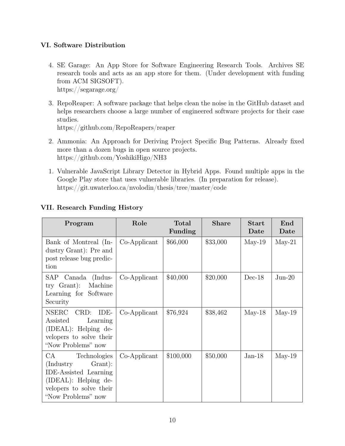# VI. Software Distribution

- 4. SE Garage: An App Store for Software Engineering Research Tools. Archives SE research tools and acts as an app store for them. (Under development with funding from ACM SIGSOFT). https://segarage.org/
- 3. RepoReaper: A software package that helps clean the noise in the GitHub dataset and helps researchers choose a large number of engineered software projects for their case studies.

https://github.com/RepoReapers/reaper

- 2. Ammonia: An Approach for Deriving Project Specific Bug Patterns. Already fixed more than a dozen bugs in open source projects. https://github.com/YoshikiHigo/NH3
- 1. Vulnerable JavaScript Library Detector in Hybrid Apps. Found multiple apps in the Google Play store that uses vulnerable libraries. (In preparation for release). https://git.uwaterloo.ca/nvolodin/thesis/tree/master/code

| Program                                                                                                                                               | Role         | <b>Total</b><br><b>Funding</b> | <b>Share</b> | <b>Start</b><br>Date | End<br>Date |
|-------------------------------------------------------------------------------------------------------------------------------------------------------|--------------|--------------------------------|--------------|----------------------|-------------|
| Bank of Montreal (In-<br>dustry Grant): Pre and<br>post release bug predic-<br>tion                                                                   | Co-Applicant | \$66,000                       | \$33,000     | $May-19$             | $May-21$    |
| SAP<br>Canada (Indus-<br>$try$ Grant):<br>Machine<br>Learning for Software<br>Security                                                                | Co-Applicant | \$40,000                       | \$20,000     | $Dec-18$             | $Jun-20$    |
| <b>NSERC</b><br>CRD:<br>IDE-<br>Assisted<br>Learning<br>$(IDEAL): Helping de-$<br>velopers to solve their<br>"Now Problems" now                       | $Co-Applier$ | \$76,924                       | \$38,462     | $May-18$             | $May-19$    |
| CA<br>Technologies<br>Grant:<br>(Industry)<br><b>IDE-Assisted</b> Learning<br>$(IDEAL): Helping de-$<br>velopers to solve their<br>"Now Problems" now | Co-Applicant | \$100,000                      | \$50,000     | $Jan-18$             | $May-19$    |

# VII. Research Funding History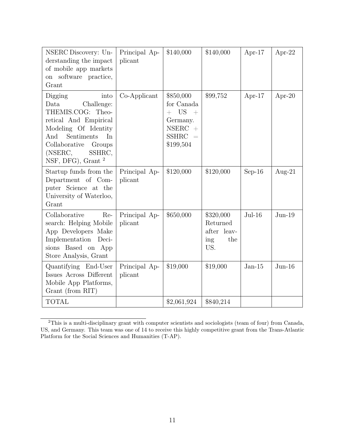| NSERC Discovery: Un-<br>derstanding the impact<br>of mobile app markets<br>on software practice,<br>Grant                                                                                                               | Principal Ap-<br>plicant | \$140,000                                                                                                    | \$140,000                                                 | Apr- $17$ | Apr-22    |
|-------------------------------------------------------------------------------------------------------------------------------------------------------------------------------------------------------------------------|--------------------------|--------------------------------------------------------------------------------------------------------------|-----------------------------------------------------------|-----------|-----------|
| Digging<br>into<br>Data<br>Challenge:<br>THEMIS.COG: Theo-<br>retical And Empirical<br>Modeling Of Identity<br>And<br>Sentiments<br>In<br>Collaborative<br>Groups<br>(NSERC,<br>SSHRC,<br>NSF, DFG), Grant <sup>2</sup> | Co-Applicant             | \$850,000<br>for Canada<br>$+$ US $+$<br>Germany.<br><b>NSERC</b><br>$+$<br><b>SSHRC</b><br>$=$<br>\$199,504 | \$99,752                                                  | Apr- $17$ | Apr-20    |
| Startup funds from the<br>Department of Com-<br>puter Science at the<br>University of Waterloo,<br>Grant                                                                                                                | Principal Ap-<br>plicant | \$120,000                                                                                                    | \$120,000                                                 | $Sep-16$  | Aug- $21$ |
| Collaborative<br>Re-<br>search: Helping Mobile<br>App Developers Make<br>Implementation<br>Deci-<br>sions Based on App<br>Store Analysis, Grant                                                                         | Principal Ap-<br>plicant | \$650,000                                                                                                    | \$320,000<br>Returned<br>after leav-<br>the<br>ing<br>US. | $Jul-16$  | $Jun-19$  |
| Quantifying End-User<br>Issues Across Different<br>Mobile App Platforms,<br>Grant (from RIT)                                                                                                                            | Principal Ap-<br>plicant | \$19,000                                                                                                     | \$19,000                                                  | $Jan-15$  | $Jun-16$  |
| <b>TOTAL</b>                                                                                                                                                                                                            |                          | \$2,061,924                                                                                                  | \$840,214                                                 |           |           |

<sup>&</sup>lt;sup>2</sup>This is a multi-disciplinary grant with computer scientists and sociologists (team of four) from Canada, US, and Germany. This team was one of 14 to receive this highly competitive grant from the Trans-Atlantic Platform for the Social Sciences and Humanities (T-AP).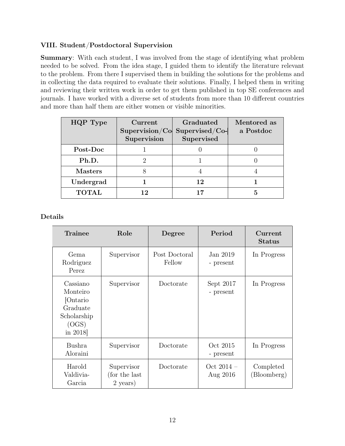# VIII. Student/Postdoctoral Supervision

Summary: With each student, I was involved from the stage of identifying what problem needed to be solved. From the idea stage, I guided them to identify the literature relevant to the problem. From there I supervised them in building the solutions for the problems and in collecting the data required to evaluate their solutions. Finally, I helped them in writing and reviewing their written work in order to get them published in top SE conferences and journals. I have worked with a diverse set of students from more than 10 different countries and more than half them are either women or visible minorities.

| HQP Type       | Current<br>Supervision | Graduated<br>$Supervision/Co$ Supervised/Co-<br>Supervised | Mentored as<br>a Postdoc |
|----------------|------------------------|------------------------------------------------------------|--------------------------|
| Post-Doc       |                        |                                                            |                          |
| Ph.D.          |                        |                                                            |                          |
| <b>Masters</b> |                        |                                                            |                          |
| Undergrad      |                        | 12                                                         |                          |
| <b>TOTAL</b>   | 12                     |                                                            |                          |

Details

| <b>Trainee</b>                                                                  | Role                                     | Degree                  | Period                   | Current<br><b>Status</b> |
|---------------------------------------------------------------------------------|------------------------------------------|-------------------------|--------------------------|--------------------------|
| Gema<br>Rodriguez<br>Perez                                                      | Supervisor                               | Post Doctoral<br>Fellow | Jan 2019<br>- present    | In Progress              |
| Cassiano<br>Monteiro<br>Ontario<br>Graduate<br>Scholarship<br>(OGS)<br>in 2018] | Supervisor                               | Doctorate               | Sept 2017<br>- present   | In Progress              |
| <b>Bushra</b><br>Aloraini                                                       | Supervisor                               | Doctorate               | Oct 2015<br>- present    | In Progress              |
| Harold<br>Valdivia-<br>Garcia                                                   | Supervisor<br>(for the last)<br>2 years) | Doctorate               | Oct $2014 -$<br>Aug 2016 | Completed<br>(Bloomberg) |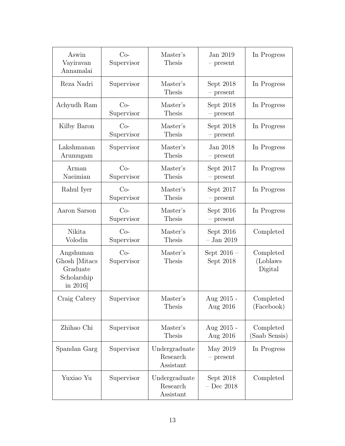| Aswin<br>Vayiravan<br>Annamalai                                     | $Co-$<br>Supervisor | Master's<br>Thesis                     | Jan 2019<br>- present      | In Progress                       |
|---------------------------------------------------------------------|---------------------|----------------------------------------|----------------------------|-----------------------------------|
| Reza Nadri                                                          | Supervisor          | Master's<br>Thesis                     | Sept 2018<br>$-$ present   | In Progress                       |
| Achyudh Ram                                                         | $Co-$<br>Supervisor | Master's<br><b>Thesis</b>              | Sept 2018<br>$-$ present   | In Progress                       |
| Kilby Baron                                                         | $Co-$<br>Supervisor | Master's<br>Thesis                     | Sept 2018<br>$-$ present   | In Progress                       |
| Lakshmanan<br>Arumugam                                              | Supervisor          | Master's<br><b>Thesis</b>              | Jan 2018<br>$-$ present    | In Progress                       |
| Arman<br>Naeimian                                                   | $Co-$<br>Supervisor | Master's<br>Thesis                     | Sept 2017<br>$-$ present   | In Progress                       |
| Rahul Iyer                                                          | $Co-$<br>Supervisor | Master's<br>Thesis                     | Sept 2017<br>$-$ present   | In Progress                       |
| Aaron Sarson                                                        | $Co-$<br>Supervisor | Master's<br>Thesis                     | Sept $2016$<br>$-$ present | In Progress                       |
| Nikita<br>Volodin                                                   | $Co-$<br>Supervisor | Master's<br><b>Thesis</b>              | Sept 2016<br>$-$ Jan 2019  | Completed                         |
| Angshuman<br>Ghosh [Mitacs]<br>Graduate<br>Scholarship<br>in $2016$ | $Co-$<br>Supervisor | Master's<br>Thesis                     | Sept $2016 -$<br>Sept 2018 | Completed<br>(Loblaws)<br>Digital |
| Craig Cabrey                                                        | Supervisor          | Master's<br>Thesis                     | Aug $2015$<br>Aug 2016     | Completed<br>(Facebook)           |
| Zhihao Chi                                                          | Supervisor          | Master's<br>Thesis                     | Aug 2015 -<br>Aug 2016     | Completed<br>(Saab Sensis)        |
| Spandan Garg                                                        | Supervisor          | Undergraduate<br>Research<br>Assistant | May 2019<br>$-$ present    | In Progress                       |
| Yuxiao Yu                                                           | Supervisor          | Undergraduate<br>Research<br>Assistant | Sept 2018<br>$-$ Dec 2018  | Completed                         |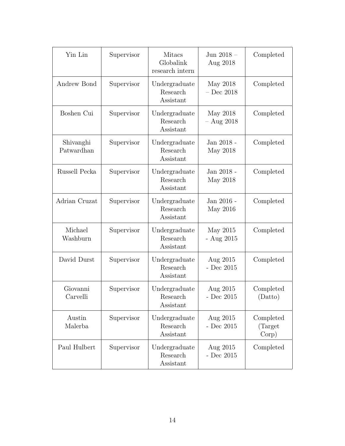| Yin Lin                 | Supervisor | <b>Mitacs</b><br>Globalink<br>research intern | Jun 2018 $-$<br>Aug 2018     | Completed                      |
|-------------------------|------------|-----------------------------------------------|------------------------------|--------------------------------|
| Andrew Bond             | Supervisor | Undergraduate<br>Research<br>Assistant        | May 2018<br>$-$ Dec $\,2018$ | Completed                      |
| Boshen Cui              | Supervisor | Undergraduate<br>Research<br>Assistant        | May 2018<br>$-$ Aug 2018     | Completed                      |
| Shivanghi<br>Patwardhan | Supervisor | Undergraduate<br>Research<br>Assistant        | Jan 2018 -<br>May 2018       | Completed                      |
| Russell Pecka           | Supervisor | Undergraduate<br>Research<br>Assistant        | Jan 2018 -<br>May 2018       | Completed                      |
| Adrian Cruzat           | Supervisor | Undergraduate<br>Research<br>Assistant        | Jan 2016 -<br>May 2016       | Completed                      |
| Michael<br>Washburn     | Supervisor | Undergraduate<br>Research<br>Assistant        | May 2015<br>- Aug $2015$     | Completed                      |
| David Durst             | Supervisor | Undergraduate<br>Research<br>Assistant        | Aug 2015<br>- Dec $2015$     | Completed                      |
| Giovanni<br>Carvelli    | Supervisor | Undergraduate<br>Research<br>Assistant        | Aug 2015<br>- Dec $2015\,$   | Completed<br>(Datto)           |
| Austin<br>Malerba       | Supervisor | Undergraduate<br>Research<br>Assistant        | Aug 2015<br>- Dec $2015$     | Completed<br>(Target)<br>Corp) |
| Paul Hulbert            | Supervisor | Undergraduate<br>Research<br>Assistant        | Aug 2015<br>- Dec $2015$     | Completed                      |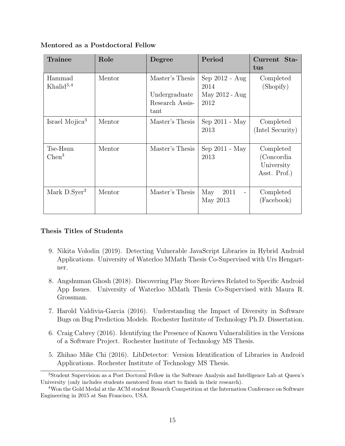| Trainee                         | Role   | Degree                                                      | Period                                              | Current Sta-<br>tus                                   |
|---------------------------------|--------|-------------------------------------------------------------|-----------------------------------------------------|-------------------------------------------------------|
| Hammad<br>Khalid <sup>3,4</sup> | Mentor | Master's Thesis<br>Undergraduate<br>Research Assis-<br>tant | $Sep 2012 - Aug$<br>2014<br>May 2012 - Aug<br>2012  | Completed<br>(Shopify)                                |
| Israel Mojica <sup>3</sup>      | Mentor | Master's Thesis                                             | Sep 2011 - May<br>2013                              | Completed<br>(Intel Security)                         |
| Tse-Hsun<br>Chen <sup>3</sup>   | Mentor | Master's Thesis                                             | Sep 2011 - May<br>2013                              | Completed<br>(Concordia<br>University<br>Asst. Prof.) |
| Mark $D.Syer3$                  | Mentor | Master's Thesis                                             | May<br>2011<br>$\overline{\phantom{a}}$<br>May 2013 | Completed<br>(Facebook)                               |

### Mentored as a Postdoctoral Fellow

### Thesis Titles of Students

- 9. Nikita Volodin (2019). Detecting Vulnerable JavaScript Libraries in Hybrid Android Applications. University of Waterloo MMath Thesis Co-Supervised with Urs Hengartner.
- 8. Angshuman Ghosh (2018). Discovering Play Store Reviews Related to Specific Android App Issues. University of Waterloo MMath Thesis Co-Supervised with Maura R. Grossman.
- 7. Harold Valdivia-Garcia (2016). Understanding the Impact of Diversity in Software Bugs on Bug Prediction Models. Rochester Institute of Technology Ph.D. Dissertation.
- 6. Craig Cabrey (2016). Identifying the Presence of Known Vulnerabilities in the Versions of a Software Project. Rochester Institute of Technology MS Thesis.
- 5. Zhihao Mike Chi (2016). LibDetector: Version Identification of Libraries in Android Applications. Rochester Institute of Technology MS Thesis.

<sup>3</sup>Student Supervision as a Post Doctoral Fellow in the Software Analysis and Intelligence Lab at Queen's University (only includes students mentored from start to finish in their research).

<sup>4</sup>Won the Gold Medal at the ACM student Resarch Competition at the Internation Conference on Software Engineering in 2015 at San Francisco, USA.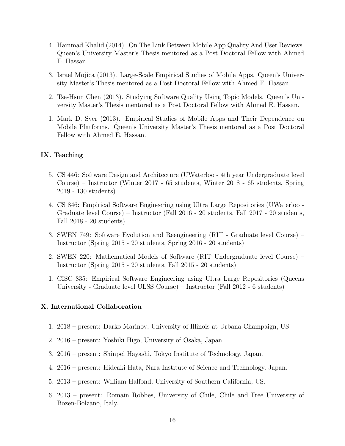- 4. Hammad Khalid (2014). On The Link Between Mobile App Quality And User Reviews. Queen's University Master's Thesis mentored as a Post Doctoral Fellow with Ahmed E. Hassan.
- 3. Israel Mojica (2013). Large-Scale Empirical Studies of Mobile Apps. Queen's University Master's Thesis mentored as a Post Doctoral Fellow with Ahmed E. Hassan.
- 2. Tse-Hsun Chen (2013). Studying Software Quality Using Topic Models. Queen's University Master's Thesis mentored as a Post Doctoral Fellow with Ahmed E. Hassan.
- 1. Mark D. Syer (2013). Empirical Studies of Mobile Apps and Their Dependence on Mobile Platforms. Queen's University Master's Thesis mentored as a Post Doctoral Fellow with Ahmed E. Hassan.

#### IX. Teaching

- 5. CS 446: Software Design and Architecture (UWaterloo 4th year Undergraduate level Course) – Instructor (Winter 2017 - 65 students, Winter 2018 - 65 students, Spring 2019 - 130 students)
- 4. CS 846: Empirical Software Engineering using Ultra Large Repositories (UWaterloo Graduate level Course) – Instructor (Fall 2016 - 20 students, Fall 2017 - 20 students, Fall 2018 - 20 students)
- 3. SWEN 749: Software Evolution and Reengineering (RIT Graduate level Course) Instructor (Spring 2015 - 20 students, Spring 2016 - 20 students)
- 2. SWEN 220: Mathematical Models of Software (RIT Undergraduate level Course) Instructor (Spring 2015 - 20 students, Fall 2015 - 20 students)
- 1. CISC 835: Empirical Software Engineering using Ultra Large Repositories (Queens University - Graduate level ULSS Course) – Instructor (Fall 2012 - 6 students)

### X. International Collaboration

- 1. 2018 present: Darko Marinov, University of Illinois at Urbana-Champaign, US.
- 2. 2016 present: Yoshiki Higo, University of Osaka, Japan.
- 3. 2016 present: Shinpei Hayashi, Tokyo Institute of Technology, Japan.
- 4. 2016 present: Hideaki Hata, Nara Institute of Science and Technology, Japan.
- 5. 2013 present: William Halfond, University of Southern California, US.
- 6. 2013 present: Romain Robbes, University of Chile, Chile and Free University of Bozen-Bolzano, Italy.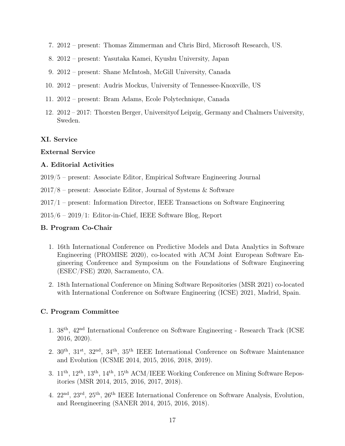- 7. 2012 present: Thomas Zimmerman and Chris Bird, Microsoft Research, US.
- 8. 2012 present: Yasutaka Kamei, Kyushu University, Japan
- 9. 2012 present: Shane McIntosh, McGill University, Canada
- 10. 2012 present: Audris Mockus, University of Tennessee-Knoxville, US
- 11. 2012 present: Bram Adams, Ecole Polytechnique, Canada
- 12. 2012 2017: Thorsten Berger, Universityof Leipzig, Germany and Chalmers University, Sweden.

#### XI. Service

#### External Service

#### A. Editorial Activities

- 2019/5 present: Associate Editor, Empirical Software Engineering Journal
- 2017/8 present: Associate Editor, Journal of Systems & Software
- 2017/1 present: Information Director, IEEE Transactions on Software Engineering

2015/6 – 2019/1: Editor-in-Chief, IEEE Software Blog, Report

#### B. Program Co-Chair

- 1. 16th International Conference on Predictive Models and Data Analytics in Software Engineering (PROMISE 2020), co-located with ACM Joint European Software Engineering Conference and Symposium on the Foundations of Software Engineering (ESEC/FSE) 2020, Sacramento, CA.
- 2. 18th International Conference on Mining Software Repositories (MSR 2021) co-located with International Conference on Software Engineering (ICSE) 2021, Madrid, Spain.

#### C. Program Committee

- 1. 38th, 42nd International Conference on Software Engineering Research Track (ICSE 2016, 2020).
- 2. 30th, 31st, 32nd, 34th, 35th IEEE International Conference on Software Maintenance and Evolution (ICSME 2014, 2015, 2016, 2018, 2019).
- 3. 11th, 12th, 13th, 14th, 15th ACM/IEEE Working Conference on Mining Software Repositories (MSR 2014, 2015, 2016, 2017, 2018).
- 4. 22nd, 23rd, 25th, 26th IEEE International Conference on Software Analysis, Evolution, and Reengineering (SANER 2014, 2015, 2016, 2018).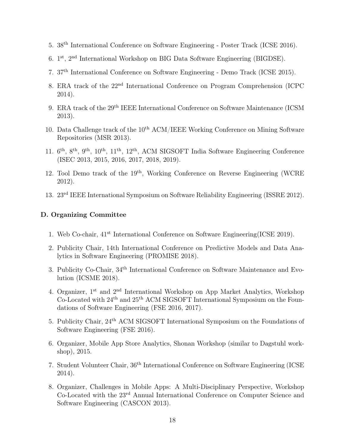- 5. 38th International Conference on Software Engineering Poster Track (ICSE 2016).
- 6. 1 st, 2nd International Workshop on BIG Data Software Engineering (BIGDSE).
- 7. 37th International Conference on Software Engineering Demo Track (ICSE 2015).
- 8. ERA track of the 22nd International Conference on Program Comprehension (ICPC 2014).
- 9. ERA track of the 29th IEEE International Conference on Software Maintenance (ICSM 2013).
- 10. Data Challenge track of the  $10<sup>th</sup>$  ACM/IEEE Working Conference on Mining Software Repositories (MSR 2013).
- 11. 6 th, 8th, 9th, 10th, 11th, 12th, ACM SIGSOFT India Software Engineering Conference (ISEC 2013, 2015, 2016, 2017, 2018, 2019).
- 12. Tool Demo track of the 19th, Working Conference on Reverse Engineering (WCRE 2012).
- 13. 23rd IEEE International Symposium on Software Reliability Engineering (ISSRE 2012).

#### D. Organizing Committee

- 1. Web Co-chair, 41st International Conference on Software Engineering(ICSE 2019).
- 2. Publicity Chair, 14th International Conference on Predictive Models and Data Analytics in Software Engineering (PROMISE 2018).
- 3. Publicity Co-Chair, 34th International Conference on Software Maintenance and Evolution (ICSME 2018).
- 4. Organizer, 1st and 2nd International Workshop on App Market Analytics, Workshop Co-Located with 24th and 25th ACM SIGSOFT International Symposium on the Foundations of Software Engineering (FSE 2016, 2017).
- 5. Publicity Chair, 24th ACM SIGSOFT International Symposium on the Foundations of Software Engineering (FSE 2016).
- 6. Organizer, Mobile App Store Analytics, Shonan Workshop (similar to Dagstuhl workshop), 2015.
- 7. Student Volunteer Chair, 36th International Conference on Software Engineering (ICSE 2014).
- 8. Organizer, Challenges in Mobile Apps: A Multi-Disciplinary Perspective, Workshop Co-Located with the 23rd Annual International Conference on Computer Science and Software Engineering (CASCON 2013).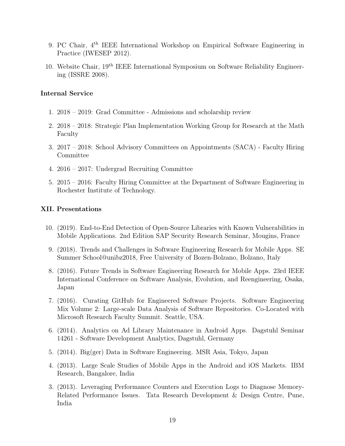- 9. PC Chair, 4th IEEE International Workshop on Empirical Software Engineering in Practice (IWESEP 2012).
- 10. Website Chair, 19th IEEE International Symposium on Software Reliability Engineering (ISSRE 2008).

#### Internal Service

- 1. 2018 2019: Grad Committee Admissions and scholarship review
- 2. 2018 2018: Strategic Plan Implementation Working Group for Research at the Math Faculty
- 3. 2017 2018: School Advisory Committees on Appointments (SACA) Faculty Hiring Committee
- 4. 2016 2017: Undergrad Recruiting Committee
- 5. 2015 2016: Faculty Hiring Committee at the Department of Software Engineering in Rochester Institute of Technology.

### XII. Presentations

- 10. (2019). End-to-End Detection of Open-Source Libraries with Known Vulnerabilities in Mobile Applications. 2nd Edition SAP Security Research Seminar, Mougins, France
- 9. (2018). Trends and Challenges in Software Engineering Research for Mobile Apps. SE Summer School@unibz2018, Free University of Bozen-Bolzano, Bolzano, Italy
- 8. (2016). Future Trends in Software Engineering Research for Mobile Apps. 23rd IEEE International Conference on Software Analysis, Evolution, and Reengineering, Osaka, Japan
- 7. (2016). Curating GitHub for Engineered Software Projects. Software Engineering Mix Volume 2: Large-scale Data Analysis of Software Repositories. Co-Located with Microsoft Research Faculty Summit. Seattle, USA.
- 6. (2014). Analytics on Ad Library Maintenance in Android Apps. Dagstuhl Seminar 14261 - Software Development Analytics, Dagstuhl, Germany
- 5. (2014). Big(ger) Data in Software Engineering. MSR Asia, Tokyo, Japan
- 4. (2013). Large Scale Studies of Mobile Apps in the Android and iOS Markets. IBM Research, Bangalore, India
- 3. (2013). Leveraging Performance Counters and Execution Logs to Diagnose Memory-Related Performance Issues. Tata Research Development & Design Centre, Pune, India